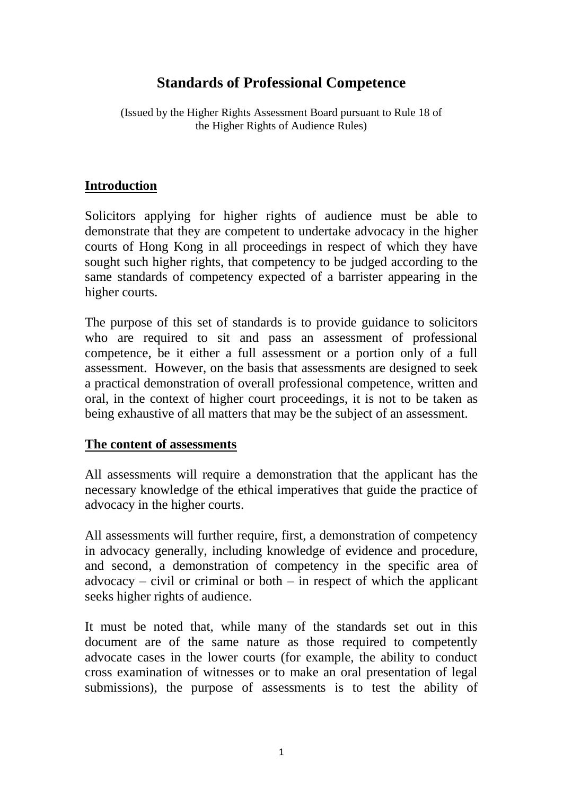# **Standards of Professional Competence**

(Issued by the Higher Rights Assessment Board pursuant to Rule 18 of the Higher Rights of Audience Rules)

## **Introduction**

Solicitors applying for higher rights of audience must be able to demonstrate that they are competent to undertake advocacy in the higher courts of Hong Kong in all proceedings in respect of which they have sought such higher rights, that competency to be judged according to the same standards of competency expected of a barrister appearing in the higher courts.

The purpose of this set of standards is to provide guidance to solicitors who are required to sit and pass an assessment of professional competence, be it either a full assessment or a portion only of a full assessment. However, on the basis that assessments are designed to seek a practical demonstration of overall professional competence, written and oral, in the context of higher court proceedings, it is not to be taken as being exhaustive of all matters that may be the subject of an assessment.

#### **The content of assessments**

All assessments will require a demonstration that the applicant has the necessary knowledge of the ethical imperatives that guide the practice of advocacy in the higher courts.

All assessments will further require, first, a demonstration of competency in advocacy generally, including knowledge of evidence and procedure, and second, a demonstration of competency in the specific area of  $advocacy - civil$  or criminal or both  $-$  in respect of which the applicant seeks higher rights of audience.

It must be noted that, while many of the standards set out in this document are of the same nature as those required to competently advocate cases in the lower courts (for example, the ability to conduct cross examination of witnesses or to make an oral presentation of legal submissions), the purpose of assessments is to test the ability of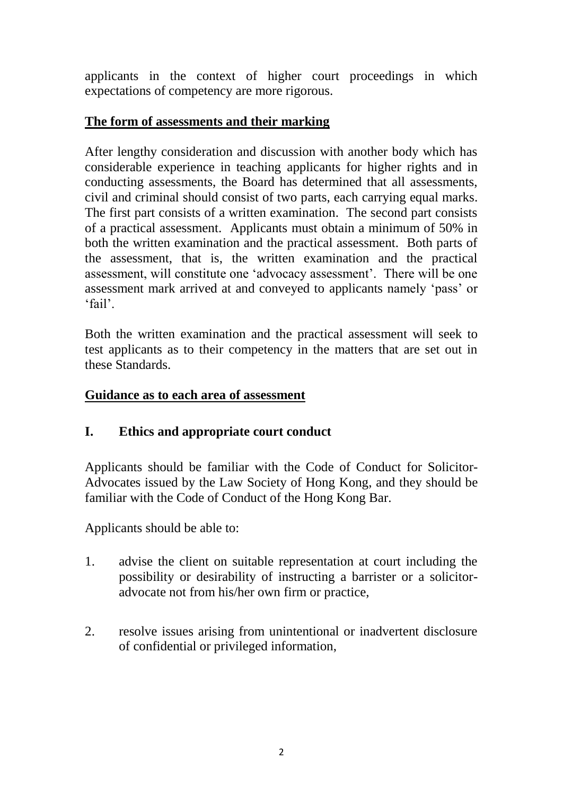applicants in the context of higher court proceedings in which expectations of competency are more rigorous.

## **The form of assessments and their marking**

After lengthy consideration and discussion with another body which has considerable experience in teaching applicants for higher rights and in conducting assessments, the Board has determined that all assessments, civil and criminal should consist of two parts, each carrying equal marks. The first part consists of a written examination. The second part consists of a practical assessment. Applicants must obtain a minimum of 50% in both the written examination and the practical assessment. Both parts of the assessment, that is, the written examination and the practical assessment, will constitute one 'advocacy assessment'. There will be one assessment mark arrived at and conveyed to applicants namely 'pass' or 'fail'.

Both the written examination and the practical assessment will seek to test applicants as to their competency in the matters that are set out in these Standards.

#### **Guidance as to each area of assessment**

# **I. Ethics and appropriate court conduct**

Applicants should be familiar with the Code of Conduct for Solicitor-Advocates issued by the Law Society of Hong Kong, and they should be familiar with the Code of Conduct of the Hong Kong Bar.

Applicants should be able to:

- 1. advise the client on suitable representation at court including the possibility or desirability of instructing a barrister or a solicitoradvocate not from his/her own firm or practice,
- 2. resolve issues arising from unintentional or inadvertent disclosure of confidential or privileged information,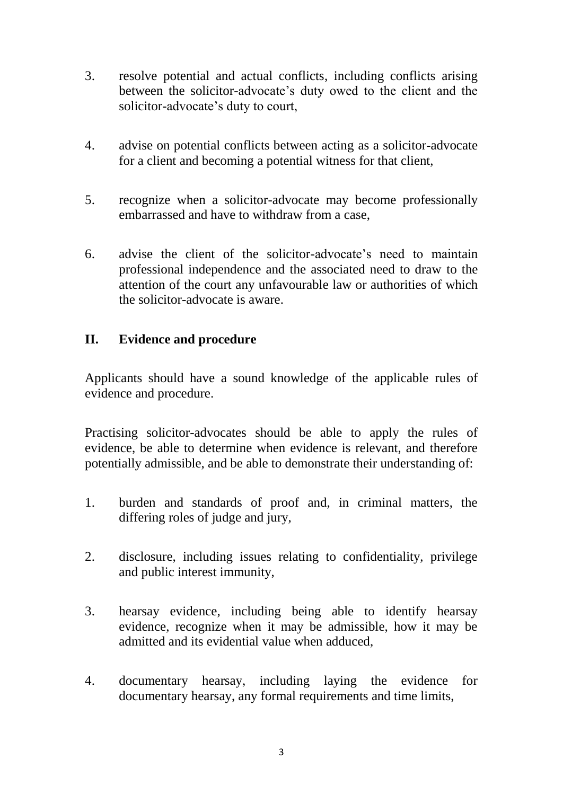- 3. resolve potential and actual conflicts, including conflicts arising between the solicitor-advocate's duty owed to the client and the solicitor-advocate's duty to court,
- 4. advise on potential conflicts between acting as a solicitor-advocate for a client and becoming a potential witness for that client,
- 5. recognize when a solicitor-advocate may become professionally embarrassed and have to withdraw from a case,
- 6. advise the client of the solicitor-advocate's need to maintain professional independence and the associated need to draw to the attention of the court any unfavourable law or authorities of which the solicitor-advocate is aware.

# **II. Evidence and procedure**

Applicants should have a sound knowledge of the applicable rules of evidence and procedure.

Practising solicitor-advocates should be able to apply the rules of evidence, be able to determine when evidence is relevant, and therefore potentially admissible, and be able to demonstrate their understanding of:

- 1. burden and standards of proof and, in criminal matters, the differing roles of judge and jury,
- 2. disclosure, including issues relating to confidentiality, privilege and public interest immunity,
- 3. hearsay evidence, including being able to identify hearsay evidence, recognize when it may be admissible, how it may be admitted and its evidential value when adduced,
- 4. documentary hearsay, including laying the evidence for documentary hearsay, any formal requirements and time limits,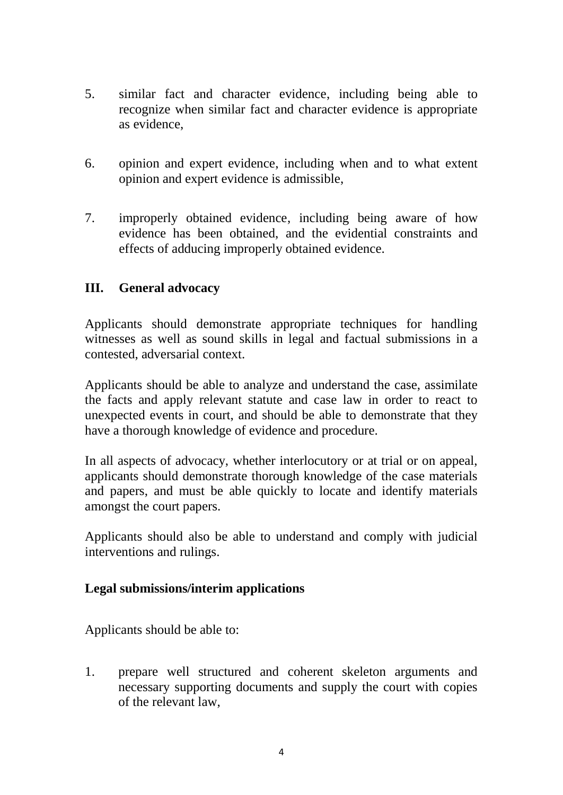- 5. similar fact and character evidence, including being able to recognize when similar fact and character evidence is appropriate as evidence,
- 6. opinion and expert evidence, including when and to what extent opinion and expert evidence is admissible,
- 7. improperly obtained evidence, including being aware of how evidence has been obtained, and the evidential constraints and effects of adducing improperly obtained evidence.

## **III. General advocacy**

Applicants should demonstrate appropriate techniques for handling witnesses as well as sound skills in legal and factual submissions in a contested, adversarial context.

Applicants should be able to analyze and understand the case, assimilate the facts and apply relevant statute and case law in order to react to unexpected events in court, and should be able to demonstrate that they have a thorough knowledge of evidence and procedure.

In all aspects of advocacy, whether interlocutory or at trial or on appeal, applicants should demonstrate thorough knowledge of the case materials and papers, and must be able quickly to locate and identify materials amongst the court papers.

Applicants should also be able to understand and comply with judicial interventions and rulings.

#### **Legal submissions/interim applications**

Applicants should be able to:

1. prepare well structured and coherent skeleton arguments and necessary supporting documents and supply the court with copies of the relevant law,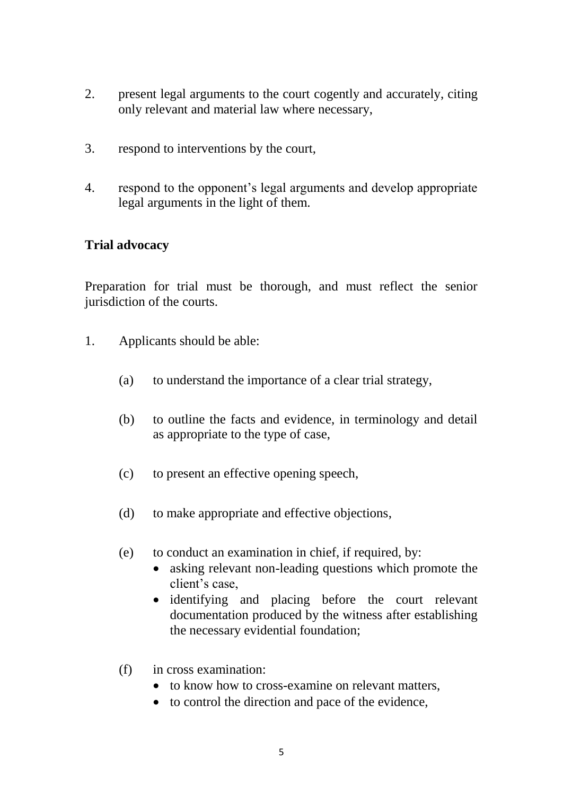- 2. present legal arguments to the court cogently and accurately, citing only relevant and material law where necessary,
- 3. respond to interventions by the court,
- 4. respond to the opponent's legal arguments and develop appropriate legal arguments in the light of them.

#### **Trial advocacy**

Preparation for trial must be thorough, and must reflect the senior jurisdiction of the courts.

- 1. Applicants should be able:
	- (a) to understand the importance of a clear trial strategy,
	- (b) to outline the facts and evidence, in terminology and detail as appropriate to the type of case,
	- (c) to present an effective opening speech,
	- (d) to make appropriate and effective objections,
	- (e) to conduct an examination in chief, if required, by:
		- asking relevant non-leading questions which promote the client's case,
		- identifying and placing before the court relevant documentation produced by the witness after establishing the necessary evidential foundation;
	- (f) in cross examination:
		- to know how to cross-examine on relevant matters,
		- to control the direction and pace of the evidence,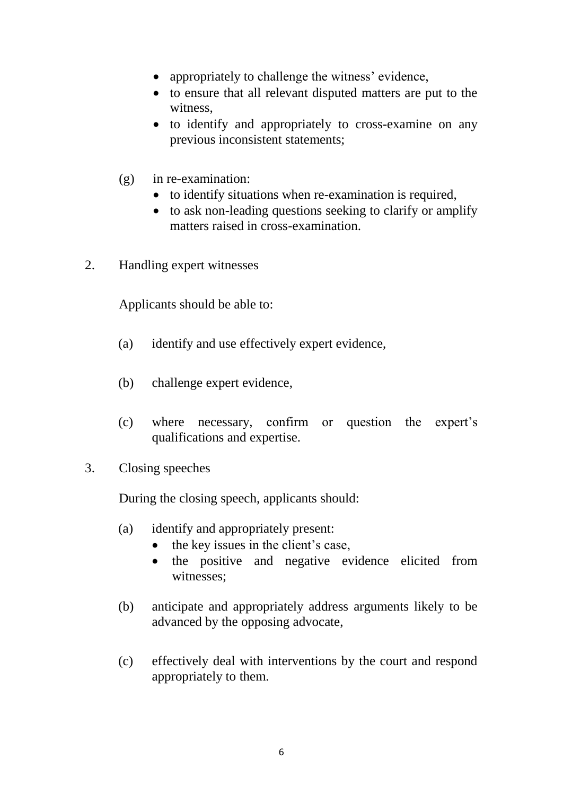- appropriately to challenge the witness' evidence,
- to ensure that all relevant disputed matters are put to the witness,
- to identify and appropriately to cross-examine on any previous inconsistent statements;
- (g) in re-examination:
	- to identify situations when re-examination is required,
	- to ask non-leading questions seeking to clarify or amplify matters raised in cross-examination.
- 2. Handling expert witnesses

Applicants should be able to:

- (a) identify and use effectively expert evidence,
- (b) challenge expert evidence,
- (c) where necessary, confirm or question the expert's qualifications and expertise.
- 3. Closing speeches

During the closing speech, applicants should:

- (a) identify and appropriately present:
	- the key issues in the client's case,
	- the positive and negative evidence elicited from witnesses;
- (b) anticipate and appropriately address arguments likely to be advanced by the opposing advocate,
- (c) effectively deal with interventions by the court and respond appropriately to them.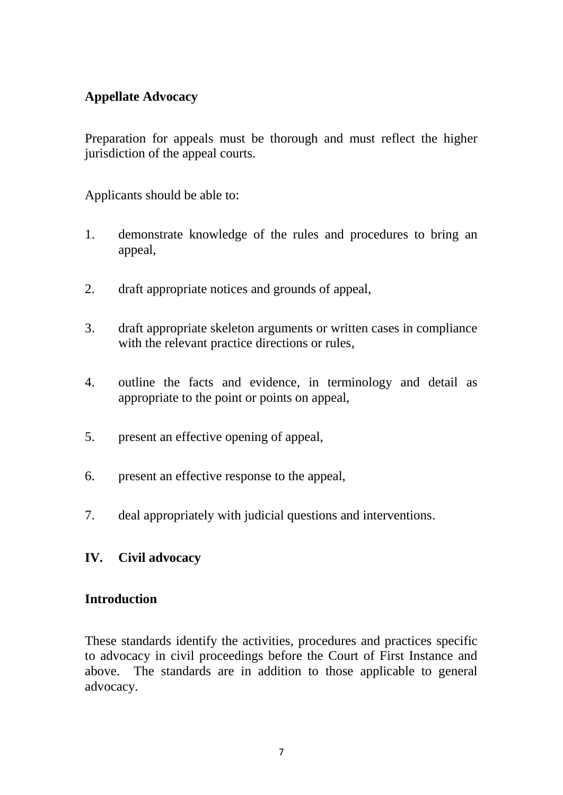# **Appellate Advocacy**

Preparation for appeals must be thorough and must reflect the higher jurisdiction of the appeal courts.

Applicants should be able to:

- 1. demonstrate knowledge of the rules and procedures to bring an appeal,
- 2. draft appropriate notices and grounds of appeal,
- 3. draft appropriate skeleton arguments or written cases in compliance with the relevant practice directions or rules,
- 4. outline the facts and evidence, in terminology and detail as appropriate to the point or points on appeal,
- 5. present an effective opening of appeal,
- 6. present an effective response to the appeal,
- 7. deal appropriately with judicial questions and interventions.

# **IV. Civil advocacy**

#### **Introduction**

These standards identify the activities, procedures and practices specific to advocacy in civil proceedings before the Court of First Instance and above. The standards are in addition to those applicable to general advocacy.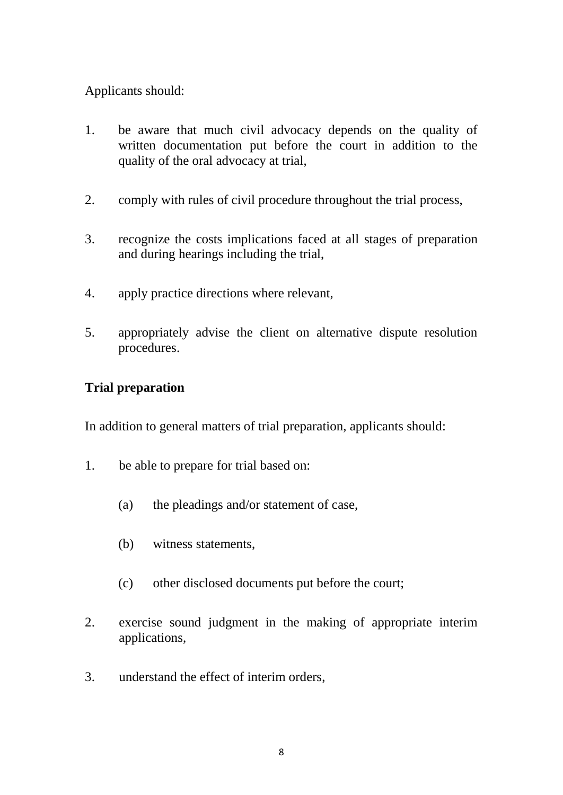## Applicants should:

- 1. be aware that much civil advocacy depends on the quality of written documentation put before the court in addition to the quality of the oral advocacy at trial,
- 2. comply with rules of civil procedure throughout the trial process,
- 3. recognize the costs implications faced at all stages of preparation and during hearings including the trial,
- 4. apply practice directions where relevant,
- 5. appropriately advise the client on alternative dispute resolution procedures.

# **Trial preparation**

In addition to general matters of trial preparation, applicants should:

- 1. be able to prepare for trial based on:
	- (a) the pleadings and/or statement of case,
	- (b) witness statements,
	- (c) other disclosed documents put before the court;
- 2. exercise sound judgment in the making of appropriate interim applications,
- 3. understand the effect of interim orders,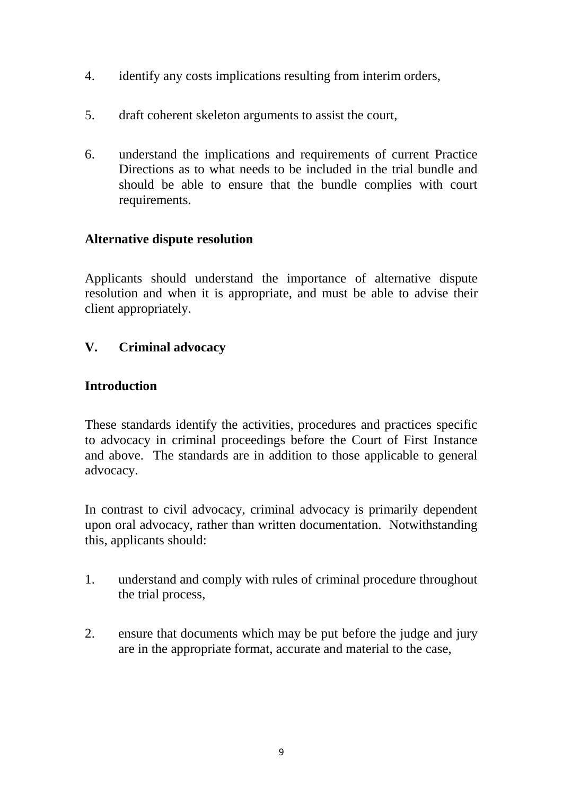- 4. identify any costs implications resulting from interim orders,
- 5. draft coherent skeleton arguments to assist the court,
- 6. understand the implications and requirements of current Practice Directions as to what needs to be included in the trial bundle and should be able to ensure that the bundle complies with court requirements.

## **Alternative dispute resolution**

Applicants should understand the importance of alternative dispute resolution and when it is appropriate, and must be able to advise their client appropriately.

# **V. Criminal advocacy**

## **Introduction**

These standards identify the activities, procedures and practices specific to advocacy in criminal proceedings before the Court of First Instance and above. The standards are in addition to those applicable to general advocacy.

In contrast to civil advocacy, criminal advocacy is primarily dependent upon oral advocacy, rather than written documentation. Notwithstanding this, applicants should:

- 1. understand and comply with rules of criminal procedure throughout the trial process,
- 2. ensure that documents which may be put before the judge and jury are in the appropriate format, accurate and material to the case,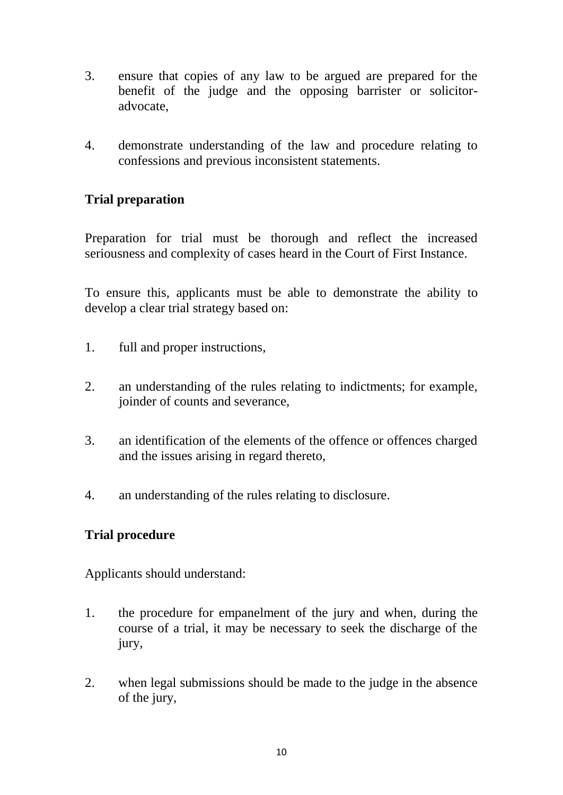- 3. ensure that copies of any law to be argued are prepared for the benefit of the judge and the opposing barrister or solicitoradvocate,
- 4. demonstrate understanding of the law and procedure relating to confessions and previous inconsistent statements.

# **Trial preparation**

Preparation for trial must be thorough and reflect the increased seriousness and complexity of cases heard in the Court of First Instance.

To ensure this, applicants must be able to demonstrate the ability to develop a clear trial strategy based on:

- 1. full and proper instructions,
- 2. an understanding of the rules relating to indictments; for example, joinder of counts and severance,
- 3. an identification of the elements of the offence or offences charged and the issues arising in regard thereto,
- 4. an understanding of the rules relating to disclosure.

# **Trial procedure**

Applicants should understand:

- 1. the procedure for empanelment of the jury and when, during the course of a trial, it may be necessary to seek the discharge of the jury,
- 2. when legal submissions should be made to the judge in the absence of the jury,